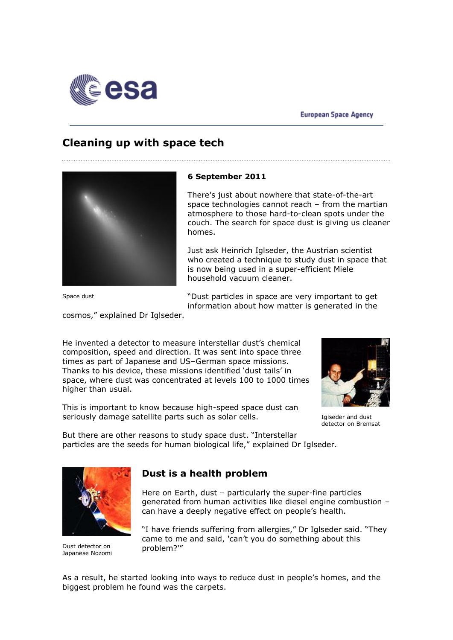

# **Cleaning up with space tech**



Space dust

### **6 September 2011**

There"s just about nowhere that state-of-the-art space technologies cannot reach – from the martian atmosphere to those hard-to-clean spots under the couch. The search for space dust is giving us cleaner homes.

Just ask Heinrich Iglseder, the Austrian scientist who created a technique to study dust in space that is now being used in a super-efficient Miele household vacuum cleaner.

"Dust particles in space are very important to get information about how matter is generated in the

cosmos," explained Dr Iglseder.

He invented a detector to measure interstellar dust's chemical composition, speed and direction. It was sent into space three times as part of Japanese and US–German space missions. Thanks to his device, these missions identified "dust tails" in space, where dust was concentrated at levels 100 to 1000 times higher than usual.

This is important to know because high-speed space dust can seriously damage satellite parts such as solar cells.



Iglseder and dust detector on Bremsat

But there are other reasons to study space dust. "Interstellar particles are the seeds for human biological life," explained Dr Iglseder.



Dust detector on Japanese Nozomi

### **Dust is a health problem**

Here on Earth, dust – particularly the super-fine particles generated from human activities like diesel engine combustion – can have a deeply negative effect on people's health.

"I have friends suffering from allergies," Dr Iglseder said. "They came to me and said, 'can"t you do something about this problem?'"

As a result, he started looking into ways to reduce dust in people"s homes, and the biggest problem he found was the carpets.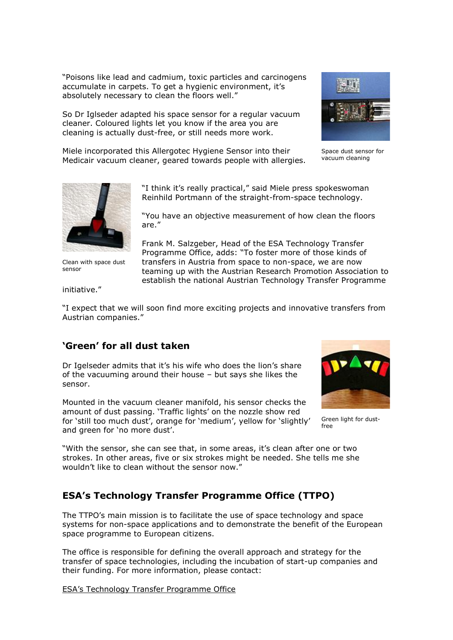"Poisons like lead and cadmium, toxic particles and carcinogens accumulate in carpets. To get a hygienic environment, it's absolutely necessary to clean the floors well."

So Dr Iglseder adapted his space sensor for a regular vacuum cleaner. Coloured lights let you know if the area you are cleaning is actually dust-free, or still needs more work.



Miele incorporated this Allergotec Hygiene Sensor into their Medicair vacuum cleaner, geared towards people with allergies.

are."

Space dust sensor for vacuum cleaning



Clean with space dust sensor

Frank M. Salzgeber, Head of the ESA Technology Transfer Programme Office, adds: "To foster more of those kinds of transfers in Austria from space to non-space, we are now teaming up with the Austrian Research Promotion Association to establish the national Austrian Technology Transfer Programme

"I think it's really practical," said Miele press spokeswoman Reinhild Portmann of the straight-from-space technology.

"You have an objective measurement of how clean the floors

initiative."

"I expect that we will soon find more exciting projects and innovative transfers from Austrian companies."

### **'Green' for all dust taken**

Dr Igelseder admits that it's his wife who does the lion's share of the vacuuming around their house – but says she likes the sensor.

Mounted in the vacuum cleaner manifold, his sensor checks the amount of dust passing. "Traffic lights" on the nozzle show red for 'still too much dust', orange for 'medium', yellow for 'slightly' and green for 'no more dust'.



Green light for dustfree

"With the sensor, she can see that, in some areas, it's clean after one or two strokes. In other areas, five or six strokes might be needed. She tells me she wouldn't like to clean without the sensor now."

## **ESA's Technology Transfer Programme Office (TTPO)**

The TTPO"s main mission is to facilitate the use of space technology and space systems for non-space applications and to demonstrate the benefit of the European space programme to European citizens.

The office is responsible for defining the overall approach and strategy for the transfer of space technologies, including the incubation of start-up companies and their funding. For more information, please contact:

ESA"s Technology Transfer Programme Office